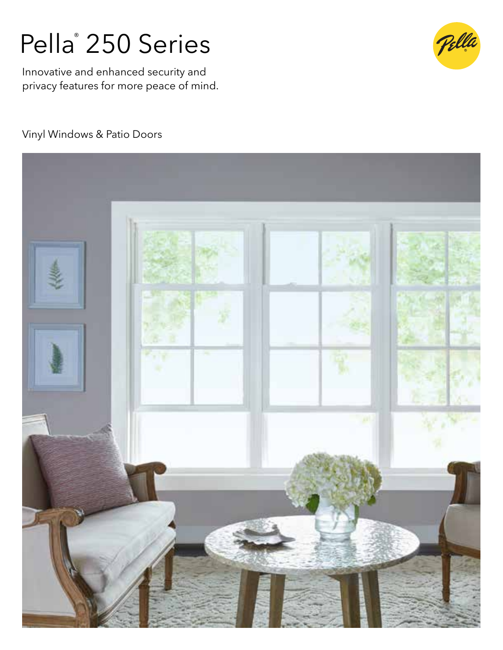

Innovative and enhanced security and privacy features for more peace of mind.



### Vinyl Windows & Patio Doors

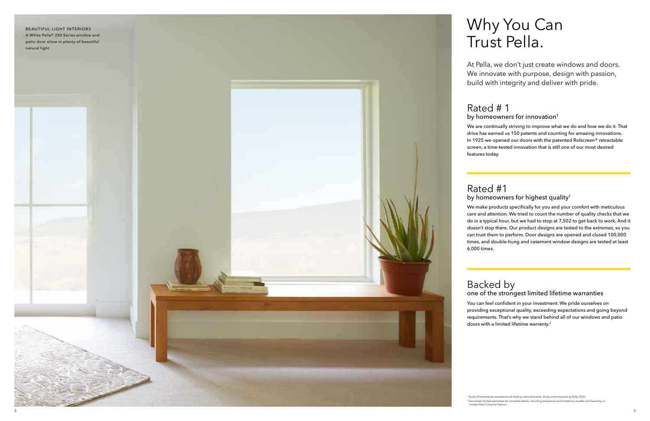

 $\begin{array}{l} \mathsf{Rated} \# \ 1 \ \mathsf{by} \ \mathsf{homeown} \end{array}$ <br>We are continually strive has earned us<br>sin 1925 we opened<br>screen, a time-teste<br>features today.<br><br><br>**Rated # 1**<br>by homeowner and attention. Notices the screen and attention. Notices We make products specifically for you and your comfort with meticulous care and a ttention. We tried to count the number of quality checks that we do in a typical hour, but we had to stop at 7,502 to get back to work. And it doesn't stop there. Our product designs are tested to the extremes, so you can trust them to perform. Door designs are opened and closed 100,000 times, and double-hung and casement window designs are tested at least 6,000 times.

We are continually striving to improve what we do and how we do it. That drive has earned us 150 patents and counting for amazing innovations. In 1925 we opened our doors with the patented Rolscreen® retractable screen, a time-tested innovation that is still one of our most desired fe atures today .

## Rated #1 by homeowners for highest quality<sup>1</sup>

At Pella, we don't just create windows and doors. We innovate with purpose, design with passion, build with integrity and deliver with pride.

# Rated  $# 1$

## by homeowners for innovation<sup>1</sup>

## Backed by one of the strongest limited lifetime warranties

You can feel confident in your investment. We pride ourselves on providing exceptional quality, exceeding expectations and going beyond requirements. That's why we stand behind all of our windows and patio doors with a limited lifetime warranty . 2

# Why You Can Trust Pella.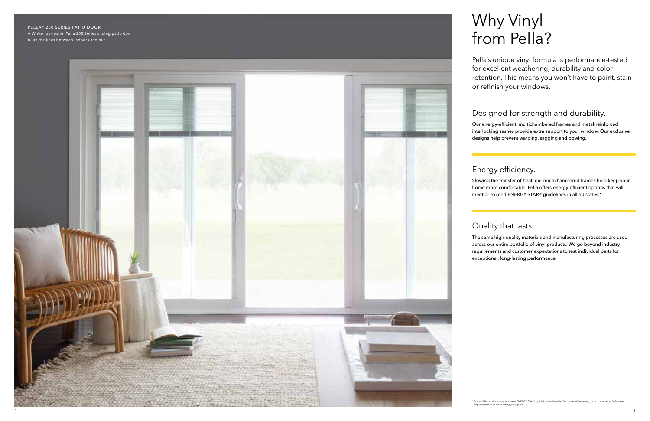

PELLA® 250 SERIES PATIO DOOR A White four-panel Pella 250 Series sliding patio door blurs the lines between indoors and out.

> Pella's unique vinyl formula is performance-tested for excellent weathering, durability and color retention. This means you won't have to paint, stain or refinish your windows.

# Designed for strength and durability.

Our energy-efficient, multichambered frames and metal-reinforced interlocking sashes provide extra support to your window. Our exclusive designs help prevent warping, sagging and bowing.

# Energy efficiency.

Slowing the transfer of heat, our multichambered frames help keep your home more comfortable. Pella offers energy-efficient options that will meet or exceed ENERGY STAR® guidelines in all 50 states.\*

Quality that lasts. The same high-quality materials and manufacturing processes are used across our entire portfolio of vinyl products. We go beyond industry requirements and customer expectations to test individual parts for exceptional, long-lasting performance.

# Why Vinyl from Pella?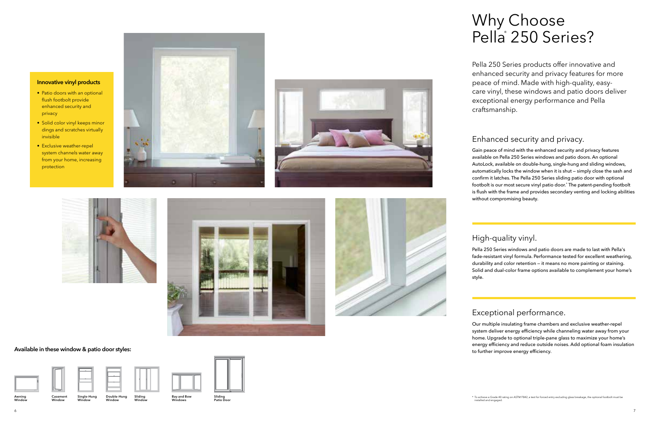6

# Why Choose Pella<sup>250</sup> Series?

Gain peace of mind with the enhanced security and privacy fe atures available on Pella 250 Series windows and patio doors. An optional AutoLock, available on double-hung, single-hung and sliding windows, automatically locks the window when it is shut — simply close the sash and confirm it latches. The Pella 250 Series sliding patio door with optional footbolt is our most secure vinyl patio door.\* The patent-pending footbolt is flush with the frame and provides secondary venting and locking abilities without compromising beauty . Fella 250 Series products offer innovative and<br>enhanced security and privacy features for mo<br>epace of mind. Made with high-quality, easy-<br>care vinyl, these windows and patio doors deli<br>exceptional energy performance and Pe

# Enhanced security and privacy .

# High-quality vinyl.

Pella 250 Series windows and patio doors are made to last with Pella's fade-resistant vinyl formula. Performance tested for e xcellent we athering, durability and color retention — it means no more painting or staining. Solid and dual-color frame options available to complement your home's style.

# Exceptional performance.

- Patio doors with an optional flush footbolt provide enhanced security and privacy
- Solid color vinyl keeps minor dings and scr atches virtually invisible
- Exclusive we ather-repel system channels water away from your home, incr easing protection











Our multiple insulating frame chambers and e xclusive we ather-repel system deliver energy efficiency while channeling water away from your home. Upgrade to optional triple-pane glass to maximize your home's energy efficiency and reduce outside noises. Add optional foam insulation to further improve energy efficiency .

enhanced security and privacy fe atures for more peace of mind. Made with high-quality , easycare vinyl, these windows and patio doors deliver exceptional energy performance and Pella craftsmanship .

### **Innovative vinyl products**

**Available in these window & patio door styles:**





**Slid i n g P a t i o Door**

**B ay a nd B o w Windo w s**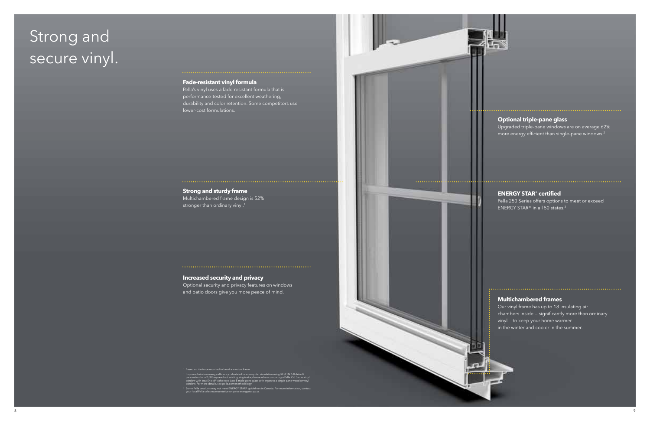Upgraded triple-pane windows are on average 62% more energy efficient than single-pane windows.<sup>2</sup>

### **Optional triple-pane glass**

### **Multichambered frames**

**Strong and sturdy frame** Multichambered frame design is 52% stronger than ordinary vinyl.<sup>1</sup>

> Our vinyl frame has up to 18 insulating air chambers inside — significantly more than ordinary vinyl — to keep your home warmer in the winter and cooler in the summer.

### **ENERGY STAR® certified**

............

. . . . . . . . . . .

Pella 250 Series offers options to meet or exceed ENERGY STAR® in all 50 states.3

### **Fade-resistant vinyl formula**

Pella's vinyl uses a fade-resistant formula that is performance-tested for excellent weathering, durability and color retention. Some competitors use lower-cost formulations.

# Strong and secure vinyl.

<sup>1</sup> Based on the force required to bend a window frame.

<sup>2</sup> Improved window energy efficiency calculated in a computer simulation using RESFEN 5.0 default parameters for a 2,000-square-foot existing single-story home when comparing a Pella 250 Series vinyl window with InsulShield® Advanced Low-E triple-pane glass with argon to a single-pane wood or vinyl window. For more details, see [pella.com/methodology.](https://www.pella.com/methodology)

<sup>3</sup> Some Pella products may not meet ENERGY STAR® guidelines in Canada. For more information, contact your local Pella sales representative or go to [energystar.gc.ca.](https://www.energystar.gc.ca)

#### **Increased security and privacy**

Optional security and privacy features on windows and patio doors give you more peace of mind.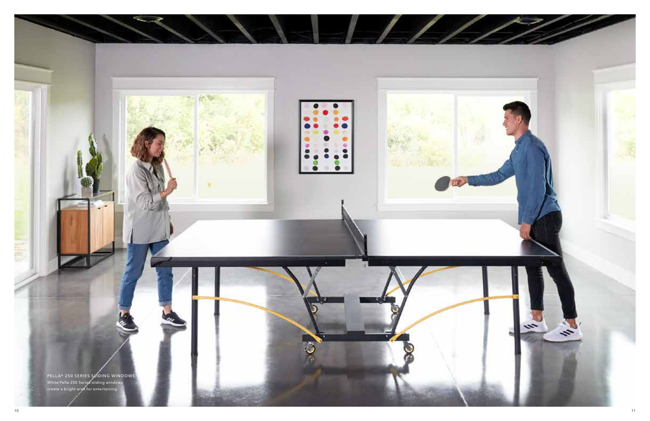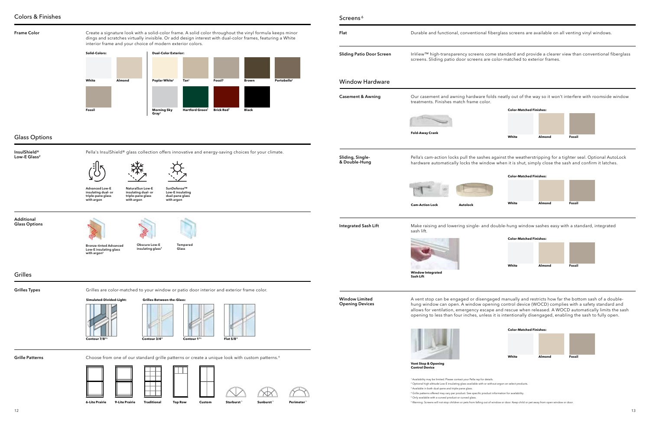Create a signature look with a solid-color frame. A solid color throughout the vinyl formula keeps minor dings and scratches virtually invisible. Or add design interest with dual-color frames, featuring a White interior frame and your choice of modern exterior colors.

Durable and functional, conventional fiberglass screens are available on all venting vinyl windows.





### $\mathsf{Colors}\ \&\ \mathsf{Finishes}\ \$

#### **Frame Color**

### Glass Options

**Fold-Away Crank**

| ens come standard and provide a clearer view than conventional fiberglass<br>ens are color-matched to exterior frames. |       |        |               |  |
|------------------------------------------------------------------------------------------------------------------------|-------|--------|---------------|--|
| vare folds neatly out of the way so it won't interfere with roomside window<br>e color.                                |       |        |               |  |
| <b>Color-Matched Finishes:</b>                                                                                         |       |        |               |  |
|                                                                                                                        |       |        |               |  |
|                                                                                                                        | White | Almond | <b>Fossil</b> |  |

<sup>6</sup> Warning: Screens will not stop children or pets from falling out of window or door. Keep child or pet away from open window or door

**6-Lite Prairie 9-Lite Prairie Traditional Top Row Custom Starburst** <sup>5</sup> **Perimeter** <sup>5</sup> **Sunburst** <sup>5</sup>

# InView™ high-transparency scre screens. Sliding patio door scree **Casement & Awning Flat Sliding Patio Door Screen** Window Hardware Our casement and awning hardv treatments. Finishes match frame

 $\overline{\phantom{a}}$  (see footnote)

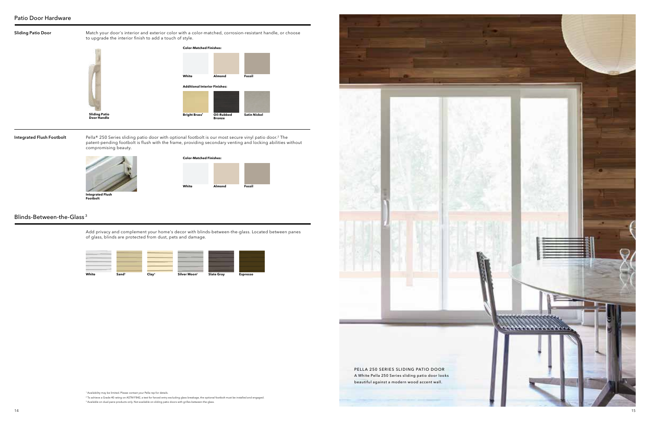

**Integrated Flush Footbolt**

Add privacy and complement your home's decor with blinds-between-the-glass. Located between panes of glass, blinds are protected from dust, pets and damage.



Pella® 250 Series sliding patio door with optional footbolt is our most secure vinyl patio door. 2 The patent-pending footbolt is flush with the frame, providing secondary venting and locking abilities without compromising beauty.

**Integrated Flush Footbolt**

### Blinds-Between-the-Glass  $^3$

### Patio Door Hardware



**White Almond Fossil**



**Color-Matched Finishes:**

<sup>1</sup> Availability may be limited. Please contact your Pella rep for details.

<sup>2</sup> To achieve a Grade 40 rating on ASTM F842, a test for forced entry excluding glass breakage, the optional footbolt must be installed and engaged.

<sup>3</sup> Available on dual-pane products only. Not available on sliding patio doors with grilles-between-the-glass.